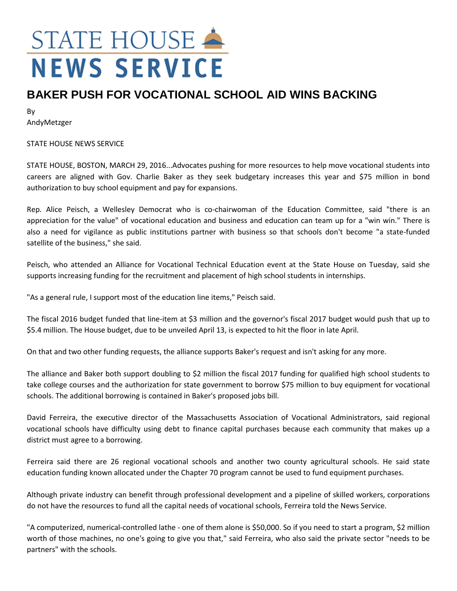## STATE HOUSE **NEWS SERVICE**

## **BAKER PUSH FOR VOCATIONAL SCHOOL AID WINS BACKING**

By AndyMetzger

STATE HOUSE NEWS SERVICE

STATE HOUSE, BOSTON, MARCH 29, 2016...Advocates pushing for more resources to help move vocational students into careers are aligned with Gov. Charlie Baker as they seek budgetary increases this year and \$75 million in bond authorization to buy school equipment and pay for expansions.

Rep. Alice Peisch, a Wellesley Democrat who is co-chairwoman of the Education Committee, said "there is an appreciation for the value" of vocational education and business and education can team up for a "win win." There is also a need for vigilance as public institutions partner with business so that schools don't become "a state-funded satellite of the business," she said.

Peisch, who attended an Alliance for Vocational Technical Education event at the State House on Tuesday, said she supports increasing funding for the recruitment and placement of high school students in internships.

"As a general rule, I support most of the education line items," Peisch said.

The fiscal 2016 budget funded that line-item at \$3 million and the governor's fiscal 2017 budget would push that up to \$5.4 million. The House budget, due to be unveiled April 13, is expected to hit the floor in late April.

On that and two other funding requests, the alliance supports Baker's request and isn't asking for any more.

The alliance and Baker both support doubling to \$2 million the fiscal 2017 funding for qualified high school students to take college courses and the authorization for state government to borrow \$75 million to buy equipment for vocational schools. The additional borrowing is contained in Baker's proposed jobs bill.

David Ferreira, the executive director of the Massachusetts Association of Vocational Administrators, said regional vocational schools have difficulty using debt to finance capital purchases because each community that makes up a district must agree to a borrowing.

Ferreira said there are 26 regional vocational schools and another two county agricultural schools. He said state education funding known allocated under the Chapter 70 program cannot be used to fund equipment purchases.

Although private industry can benefit through professional development and a pipeline of skilled workers, corporations do not have the resources to fund all the capital needs of vocational schools, Ferreira told the News Service.

"A computerized, numerical-controlled lathe - one of them alone is \$50,000. So if you need to start a program, \$2 million worth of those machines, no one's going to give you that," said Ferreira, who also said the private sector "needs to be partners" with the schools.